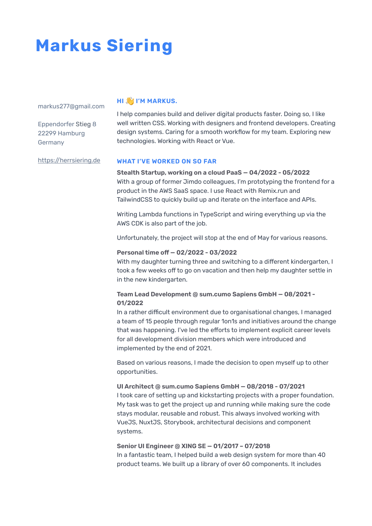# **Markus Siering**

markus277@gmail.com

Eppendorfer Stieg 8 22299 Hamburg Germany

# **HI SI I'M MARKUS.**

I help companies build and deliver digital products faster. Doing so, I like well written CSS. Working with designers and frontend developers. Creating design systems. Caring for a smooth workflow for my team. Exploring new technologies. Working with React or Vue.

<https://herrsiering.de>

## **WHAT I'VE WORKED ON SO FAR**

**Stealth Startup, working on a cloud PaaS — 04/2022 - 05/2022** With a group of former Jimdo colleagues, I'm prototyping the frontend for a product in the AWS SaaS space. I use React with Remix.run and TailwindCSS to quickly build up and iterate on the interface and APIs.

Writing Lambda functions in TypeScript and wiring everything up via the AWS CDK is also part of the job.

Unfortunately, the project will stop at the end of May for various reasons.

#### **Personal time off — 02/2022 - 03/2022**

With my daughter turning three and switching to a different kindergarten, I took a few weeks off to go on vacation and then help my daughter settle in in the new kindergarten.

## **Team Lead Development @ sum.cumo Sapiens GmbH — 08/2021 - 01/2022**

In a rather difficult environment due to organisational changes, I managed a team of 15 people through regular 1on1s and initiatives around the change that was happening. I've led the efforts to implement explicit career levels for all development division members which were introduced and implemented by the end of 2021.

Based on various reasons, I made the decision to open myself up to other opportunities.

## **UI Architect @ sum.cumo Sapiens GmbH — 08/2018 - 07/2021** I took care of setting up and kickstarting projects with a proper foundation. My task was to get the project up and running while making sure the code stays modular, reusable and robust. This always involved working with VueJS, NuxtJS, Storybook, architectural decisions and component systems.

## **Senior UI Engineer @ XING SE — 01/2017 – 07/2018**

In a fantastic team, I helped build a web design system for more than 40 product teams. We built up a library of over 60 components. It includes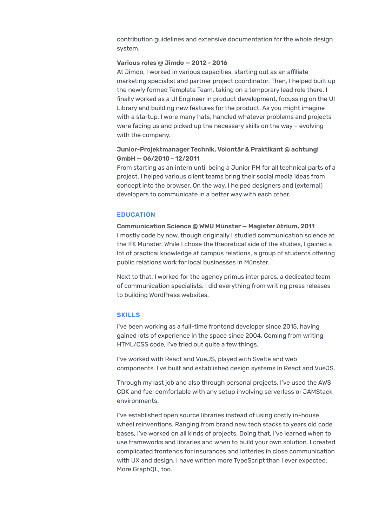contribution guidelines and extensive documentation for the whole design system.

#### **Various roles @ Jimdo — 2012 - 2016**

At Jimdo, I worked in various capacities, starting out as an affiliate marketing specialist and partner project coordinator. Then, I helped built up the newly formed Template Team, taking on a temporary lead role there. I finally worked as a UI Engineer in product development, focussing on the UI Library and building new features for the product. As you might imagine with a startup, I wore many hats, handled whatever problems and projects were facing us and picked up the necessary skills on the way – evolving with the company.

#### **Junior-Projektmanager Technik, Volontär & Praktikant @ achtung! GmbH — 06/2010 - 12/2011**

From starting as an intern until being a Junior PM for all technical parts of a project, I helped various client teams bring their social media ideas from concept into the browser. On the way, I helped designers and (external) developers to communicate in a better way with each other.

#### **EDUCATION**

**Communication Science @ WWU Münster — Magister Atrium, 2011** I mostly code by now, though originally I studied communication science at the IfK Münster. While I chose the theoretical side of the studies, I gained a lot of practical knowledge at campus relations, a group of students offering public relations work for local businesses in Münster.

Next to that, I worked for the agency primus inter pares, a dedicated team of communication specialists. I did everything from writing press releases to building WordPress websites.

#### **SKILLS**

I've been working as a full-time frontend developer since 2015, having gained lots of experience in the space since 2004. Coming from writing HTML/CSS code, I've tried out quite a few things.

I've worked with React and VueJS, played with Svelte and web components. I've built and established design systems in React and VueJS.

Through my last job and also through personal projects, I've used the AWS CDK and feel comfortable with any setup involving serverless or JAMStack environments.

I've established open source libraries instead of using costly in-house wheel reinventions. Ranging from brand new tech stacks to years old code bases, I've worked on all kinds of projects. Doing that, I've learned when to use frameworks and libraries and when to build your own solution. I created complicated frontends for insurances and lotteries in close communication with UX and design. I have written more TypeScript than I ever expected. More GraphQL, too.